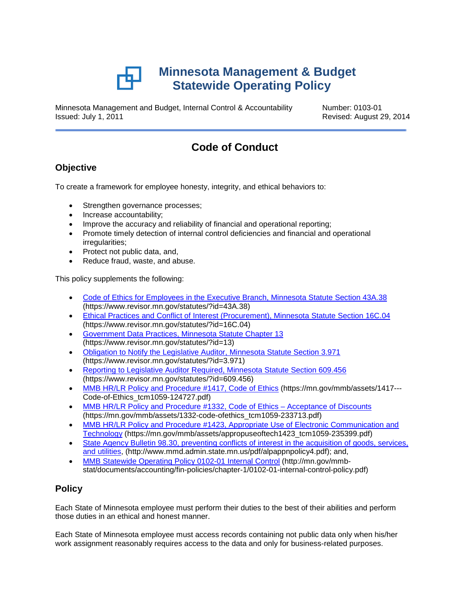

Minnesota Management and Budget, Internal Control & Accountability Number: 0103-01 Issued: July 1, 2011 Revised: August 29, 2014

# **Code of Conduct**

# **Objective**

To create a framework for employee honesty, integrity, and ethical behaviors to:

- Strengthen governance processes;
- Increase accountability;
- Improve the accuracy and reliability of financial and operational reporting;
- Promote timely detection of internal control deficiencies and financial and operational irregularities;
- Protect not public data, and,
- Reduce fraud, waste, and abuse.

This policy supplements the following:

- [Code of Ethics for Employees in the Executive Branch, Minnesota Statute Section 43A.38](https://www.revisor.mn.gov/statutes/?id=43A.38) (https://www.revisor.mn.gov/statutes/?id=43A.38)
- [Ethical Practices and Conflict of Interest](https://www.revisor.mn.gov/statutes/?id=16C.04) (Procurement), Minnesota Statute Section 16C.04 (https://www.revisor.mn.gov/statutes/?id=16C.04)
- [Government Data Practices, Minnesota Statute Chapter 13](https://www.revisor.mn.gov/statutes/?id=13) (https://www.revisor.mn.gov/statutes/?id=13)
- [Obligation to Notify the Legislative Auditor, Minnesota Statute Section 3.971](https://www.revisor.mn.gov/statutes/?id=3.971) (https://www.revisor.mn.gov/statutes/?id=3.971)
- [Reporting to Legislative Auditor Required, Minnesota Statute Section 609.456](https://www.revisor.mn.gov/statutes/?id=609.456) (https://www.revisor.mn.gov/statutes/?id=609.456)
- [MMB HR/LR Policy and Procedure #1417, Code of Ethics](https://mn.gov/mmb/assets/1417---Code-of-Ethics_tcm1059-124727.pdf) (https://mn.gov/mmb/assets/1417---Code-of-Ethics\_tcm1059-124727.pdf)
- [MMB HR/LR Policy and Procedure #1332, Code of Ethics Acceptance of Discounts](https://mn.gov/mmb/assets/1332-code-ofethics_tcm1059-233713.pdf) (https://mn.gov/mmb/assets/1332-code-ofethics\_tcm1059-233713.pdf)
- MMB HR/LR Policy and Procedure #1423, Appropriate Use of Electronic Communication and [Technology](https://mn.gov/mmb/assets/appropuseoftech1423_tcm1059-235399.pdf) (https://mn.gov/mmb/assets/appropuseoftech1423\_tcm1059-235399.pdf)
- State Agency Bulletin 98.30, preventing conflicts of interest in the acquisition of goods, services, [and utilities,](http://www.mmd.admin.state.mn.us/pdf/alpappnpolicy4.pdf) (http://www.mmd.admin.state.mn.us/pdf/alpappnpolicy4.pdf); and,
- [MMB Statewide Operating Policy 0102-01](http://mn.gov/mmb-stat/documents/accounting/fin-policies/chapter-1/0102-01-internal-control-policy.pdf) Internal Control (http://mn.gov/mmbstat/documents/accounting/fin-policies/chapter-1/0102-01-internal-control-policy.pdf)

# **Policy**

Each State of Minnesota employee must perform their duties to the best of their abilities and perform those duties in an ethical and honest manner.

Each State of Minnesota employee must access records containing not public data only when his/her work assignment reasonably requires access to the data and only for business-related purposes.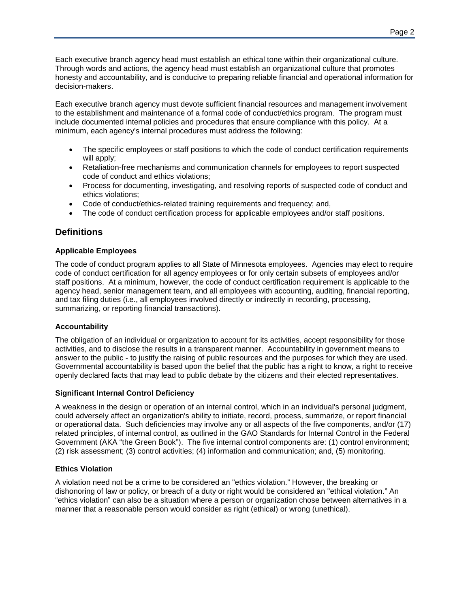Each executive branch agency head must establish an ethical tone within their organizational culture. Through words and actions, the agency head must establish an organizational culture that promotes honesty and accountability, and is conducive to preparing reliable financial and operational information for decision-makers.

Each executive branch agency must devote sufficient financial resources and management involvement to the establishment and maintenance of a formal code of conduct/ethics program. The program must include documented internal policies and procedures that ensure compliance with this policy. At a minimum, each agency's internal procedures must address the following:

- The specific employees or staff positions to which the code of conduct certification requirements will apply:
- Retaliation-free mechanisms and communication channels for employees to report suspected code of conduct and ethics violations;
- Process for documenting, investigating, and resolving reports of suspected code of conduct and ethics violations;
- Code of conduct/ethics-related training requirements and frequency; and,
- The code of conduct certification process for applicable employees and/or staff positions.

## **Definitions**

#### **Applicable Employees**

The code of conduct program applies to all State of Minnesota employees. Agencies may elect to require code of conduct certification for all agency employees or for only certain subsets of employees and/or staff positions. At a minimum, however, the code of conduct certification requirement is applicable to the agency head, senior management team, and all employees with accounting, auditing, financial reporting, and tax filing duties (i.e., all employees involved directly or indirectly in recording, processing, summarizing, or reporting financial transactions).

#### **Accountability**

The obligation of an individual or organization to account for its activities, accept responsibility for those activities, and to disclose the results in a transparent manner. Accountability in government means to answer to the public - to justify the raising of public resources and the purposes for which they are used. Governmental accountability is based upon the belief that the public has a right to know, a right to receive openly declared facts that may lead to public debate by the citizens and their elected representatives.

#### **Significant Internal Control Deficiency**

A weakness in the design or operation of an internal control, which in an individual's personal judgment, could adversely affect an organization's ability to initiate, record, process, summarize, or report financial or operational data. Such deficiencies may involve any or all aspects of the five components, and/or (17) related principles, of internal control, as outlined in the GAO Standards for Internal Control in the Federal Government (AKA "the Green Book"). The five internal control components are: (1) control environment; (2) risk assessment; (3) control activities; (4) information and communication; and, (5) monitoring.

#### **Ethics Violation**

A violation need not be a crime to be considered an "ethics violation." However, the breaking or dishonoring of law or policy, or breach of a duty or right would be considered an "ethical violation." An "ethics violation" can also be a situation where a person or organization chose between alternatives in a manner that a reasonable person would consider as right (ethical) or wrong (unethical).